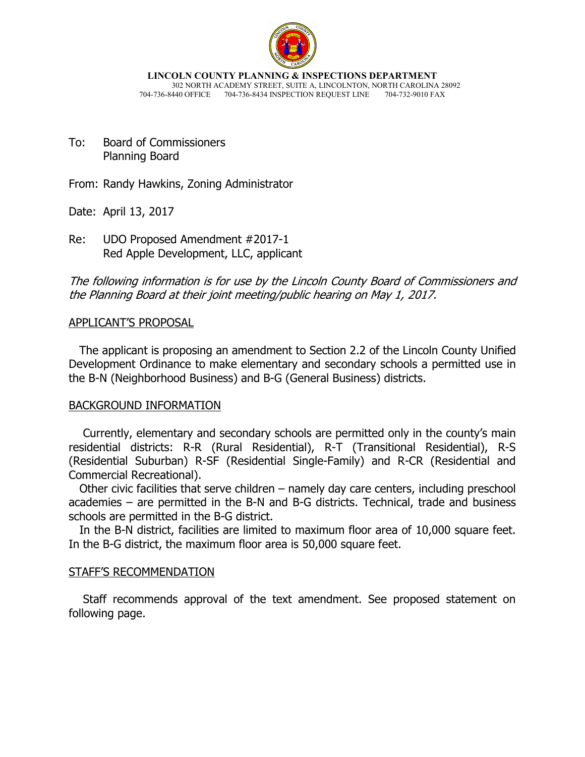

**LINCOLN COUNTY PLANNING & INSPECTIONS DEPARTMENT** 302 NORTH ACADEMY STREET, SUITE A, LINCOLNTON, NORTH CAROLINA 28092 704-736-8440 OFFICE 704-736-8434 INSPECTION REQUEST LINE 704-732-9010 FAX

To: Board of Commissioners Planning Board

From: Randy Hawkins, Zoning Administrator

Date: April 13, 2017

Re: UDO Proposed Amendment #2017-1 Red Apple Development, LLC, applicant

The following information is for use by the Lincoln County Board of Commissioners and the Planning Board at their joint meeting/public hearing on May 1, 2017.

# APPLICANT'S PROPOSAL

 The applicant is proposing an amendment to Section 2.2 of the Lincoln County Unified Development Ordinance to make elementary and secondary schools a permitted use in the B-N (Neighborhood Business) and B-G (General Business) districts.

# BACKGROUND INFORMATION

 Currently, elementary and secondary schools are permitted only in the county's main residential districts: R-R (Rural Residential), R-T (Transitional Residential), R-S (Residential Suburban) R-SF (Residential Single-Family) and R-CR (Residential and Commercial Recreational).

 Other civic facilities that serve children – namely day care centers, including preschool academies – are permitted in the B-N and B-G districts. Technical, trade and business schools are permitted in the B-G district.

 In the B-N district, facilities are limited to maximum floor area of 10,000 square feet. In the B-G district, the maximum floor area is 50,000 square feet.

# STAFF'S RECOMMENDATION

 Staff recommends approval of the text amendment. See proposed statement on following page.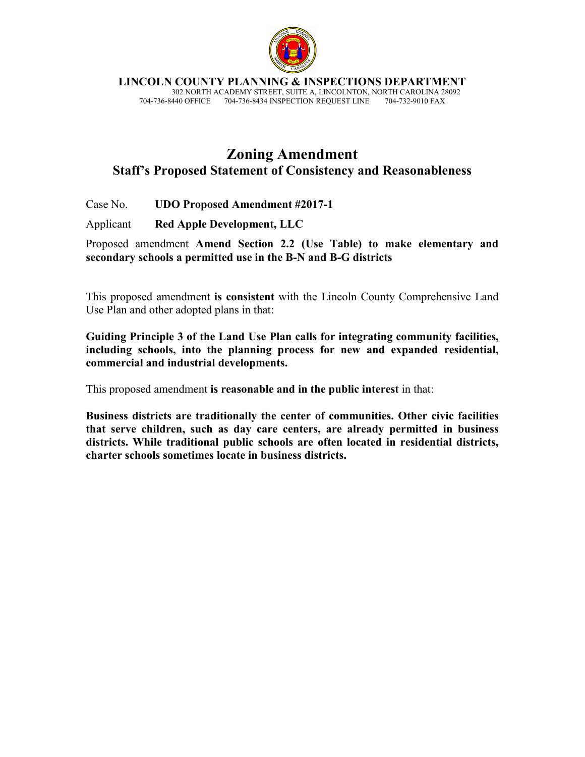

**LINCOLN COUNTY PLANNING & INSPECTIONS DEPARTMENT**

 302 NORTH ACADEMY STREET, SUITE A, LINCOLNTON, NORTH CAROLINA 28092 704-736-8440 OFFICE 704-736-8434 INSPECTION REQUEST LINE

# **Zoning Amendment Staff's Proposed Statement of Consistency and Reasonableness**

Case No. **UDO Proposed Amendment #2017-1** 

Applicant **Red Apple Development, LLC** 

Proposed amendment **Amend Section 2.2 (Use Table) to make elementary and secondary schools a permitted use in the B-N and B-G districts**

This proposed amendment **is consistent** with the Lincoln County Comprehensive Land Use Plan and other adopted plans in that:

**Guiding Principle 3 of the Land Use Plan calls for integrating community facilities, including schools, into the planning process for new and expanded residential, commercial and industrial developments.** 

This proposed amendment **is reasonable and in the public interest** in that:

**Business districts are traditionally the center of communities. Other civic facilities that serve children, such as day care centers, are already permitted in business districts. While traditional public schools are often located in residential districts, charter schools sometimes locate in business districts.**